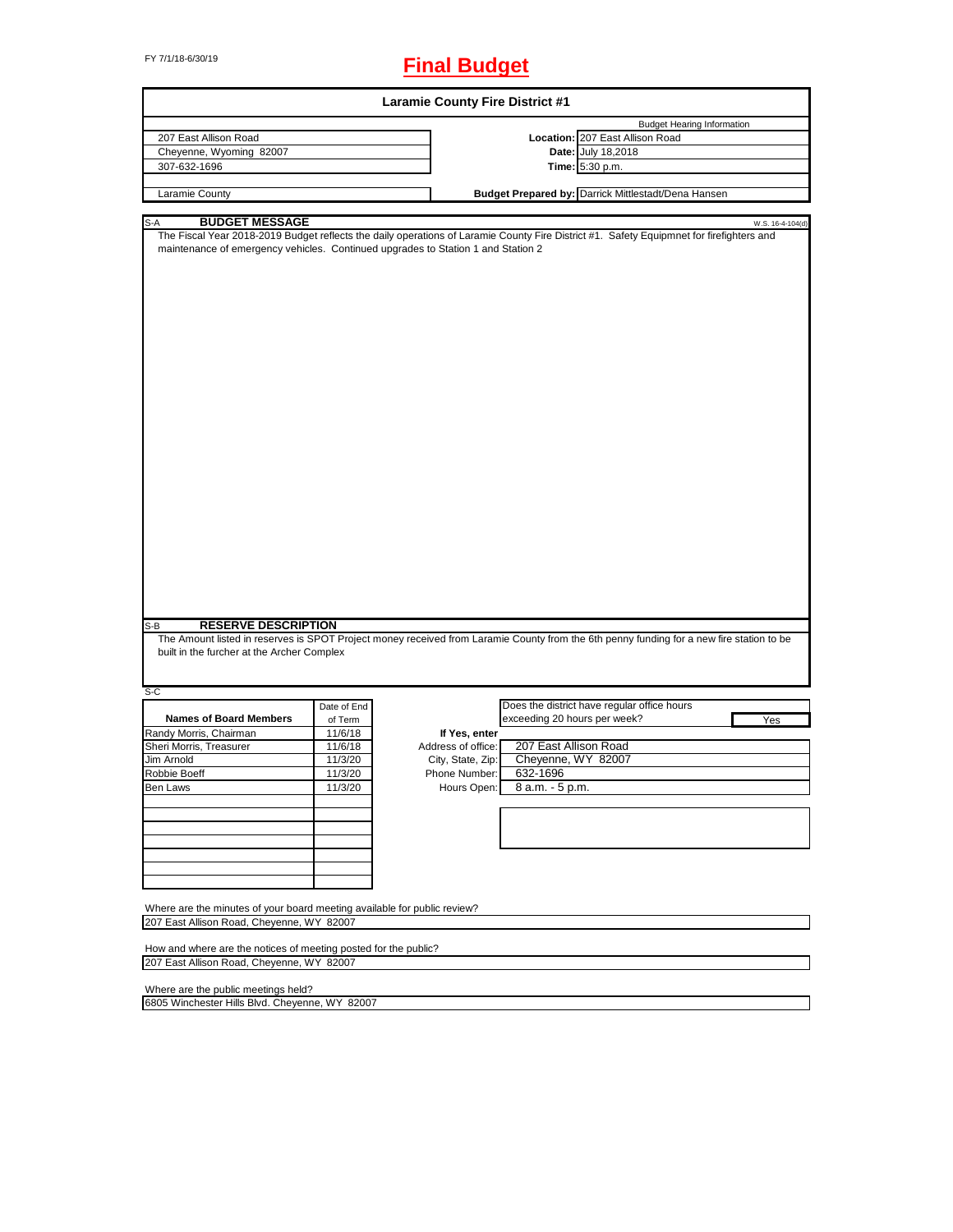# FY 7/1/18-6/30/19 **Final Budget**

| <b>Laramie County Fire District #1</b>                                                                                |             |                    |                                                                                                                                          |  |  |  |
|-----------------------------------------------------------------------------------------------------------------------|-------------|--------------------|------------------------------------------------------------------------------------------------------------------------------------------|--|--|--|
|                                                                                                                       |             |                    | <b>Budget Hearing Information</b>                                                                                                        |  |  |  |
| 207 East Allison Road                                                                                                 |             |                    | Location: 207 East Allison Road                                                                                                          |  |  |  |
| Cheyenne, Wyoming 82007                                                                                               |             |                    | Date: July 18,2018                                                                                                                       |  |  |  |
| 307-632-1696                                                                                                          |             |                    | Time: 5:30 p.m.                                                                                                                          |  |  |  |
| Laramie County                                                                                                        |             |                    | Budget Prepared by: Darrick Mittlestadt/Dena Hansen                                                                                      |  |  |  |
|                                                                                                                       |             |                    |                                                                                                                                          |  |  |  |
| <b>BUDGET MESSAGE</b><br>S-A                                                                                          |             |                    | W.S. 16-4-104(d)                                                                                                                         |  |  |  |
| maintenance of emergency vehicles. Continued upgrades to Station 1 and Station 2                                      |             |                    | The Fiscal Year 2018-2019 Budget reflects the daily operations of Laramie County Fire District #1. Safety Equipmnet for firefighters and |  |  |  |
|                                                                                                                       |             |                    |                                                                                                                                          |  |  |  |
|                                                                                                                       |             |                    |                                                                                                                                          |  |  |  |
|                                                                                                                       |             |                    |                                                                                                                                          |  |  |  |
|                                                                                                                       |             |                    |                                                                                                                                          |  |  |  |
|                                                                                                                       |             |                    |                                                                                                                                          |  |  |  |
|                                                                                                                       |             |                    |                                                                                                                                          |  |  |  |
|                                                                                                                       |             |                    |                                                                                                                                          |  |  |  |
|                                                                                                                       |             |                    |                                                                                                                                          |  |  |  |
|                                                                                                                       |             |                    |                                                                                                                                          |  |  |  |
|                                                                                                                       |             |                    |                                                                                                                                          |  |  |  |
|                                                                                                                       |             |                    |                                                                                                                                          |  |  |  |
|                                                                                                                       |             |                    |                                                                                                                                          |  |  |  |
|                                                                                                                       |             |                    |                                                                                                                                          |  |  |  |
|                                                                                                                       |             |                    |                                                                                                                                          |  |  |  |
|                                                                                                                       |             |                    |                                                                                                                                          |  |  |  |
|                                                                                                                       |             |                    |                                                                                                                                          |  |  |  |
|                                                                                                                       |             |                    |                                                                                                                                          |  |  |  |
|                                                                                                                       |             |                    |                                                                                                                                          |  |  |  |
|                                                                                                                       |             |                    |                                                                                                                                          |  |  |  |
|                                                                                                                       |             |                    |                                                                                                                                          |  |  |  |
|                                                                                                                       |             |                    |                                                                                                                                          |  |  |  |
|                                                                                                                       |             |                    |                                                                                                                                          |  |  |  |
|                                                                                                                       |             |                    |                                                                                                                                          |  |  |  |
|                                                                                                                       |             |                    |                                                                                                                                          |  |  |  |
|                                                                                                                       |             |                    |                                                                                                                                          |  |  |  |
|                                                                                                                       |             |                    |                                                                                                                                          |  |  |  |
| $S-B$<br><b>RESERVE DESCRIPTION</b>                                                                                   |             |                    |                                                                                                                                          |  |  |  |
|                                                                                                                       |             |                    | The Amount listed in reserves is SPOT Project money received from Laramie County from the 6th penny funding for a new fire station to be |  |  |  |
| built in the furcher at the Archer Complex                                                                            |             |                    |                                                                                                                                          |  |  |  |
|                                                                                                                       |             |                    |                                                                                                                                          |  |  |  |
| S-C                                                                                                                   |             |                    |                                                                                                                                          |  |  |  |
|                                                                                                                       | Date of End |                    | Does the district have regular office hours                                                                                              |  |  |  |
| <b>Names of Board Members</b>                                                                                         | of Term     |                    | exceeding 20 hours per week?<br>Yes                                                                                                      |  |  |  |
| Randy Morris, Chairman                                                                                                | 11/6/18     | If Yes, enter      |                                                                                                                                          |  |  |  |
| Sheri Morris, Treasurer                                                                                               | 11/6/18     | Address of office: | 207 East Allison Road                                                                                                                    |  |  |  |
| Jim Arnold                                                                                                            | 11/3/20     | City, State, Zip:  | Cheyenne, WY 82007                                                                                                                       |  |  |  |
| Robbie Boeff                                                                                                          | 11/3/20     | Phone Number:      | 632-1696                                                                                                                                 |  |  |  |
| Ben Laws                                                                                                              | 11/3/20     |                    | Hours Open: 8 a.m. - 5 p.m.                                                                                                              |  |  |  |
|                                                                                                                       |             |                    |                                                                                                                                          |  |  |  |
|                                                                                                                       |             |                    |                                                                                                                                          |  |  |  |
|                                                                                                                       |             |                    |                                                                                                                                          |  |  |  |
|                                                                                                                       |             |                    |                                                                                                                                          |  |  |  |
|                                                                                                                       |             |                    |                                                                                                                                          |  |  |  |
|                                                                                                                       |             |                    |                                                                                                                                          |  |  |  |
|                                                                                                                       |             |                    |                                                                                                                                          |  |  |  |
|                                                                                                                       |             |                    |                                                                                                                                          |  |  |  |
| Where are the minutes of your board meeting available for public review?<br>207 East Allison Road, Cheyenne, WY 82007 |             |                    |                                                                                                                                          |  |  |  |
|                                                                                                                       |             |                    |                                                                                                                                          |  |  |  |
| How and where are the notices of meeting posted for the public?                                                       |             |                    |                                                                                                                                          |  |  |  |
| 207 East Allison Road, Cheyenne, WY 82007                                                                             |             |                    |                                                                                                                                          |  |  |  |
|                                                                                                                       |             |                    |                                                                                                                                          |  |  |  |
| Where are the public meetings held?                                                                                   |             |                    |                                                                                                                                          |  |  |  |

┑

6805 Winchester Hills Blvd. Cheyenne, WY 82007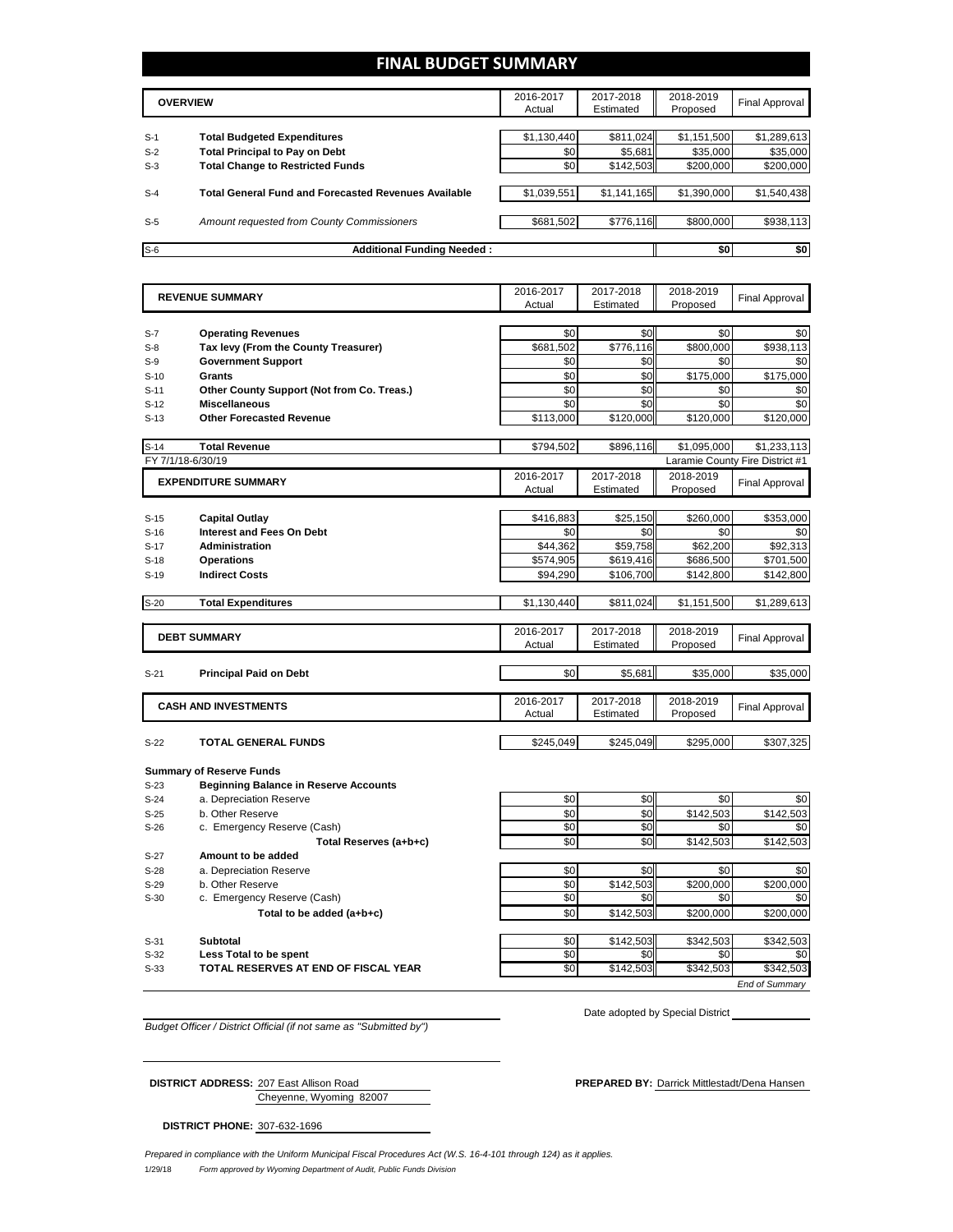# **FINAL BUDGET SUMMARY**

| <b>OVERVIEW</b> |                                                             | 2016-2017<br>Actual | 2017-2018<br>Estimated | 2018-2019<br>Proposed | Final Approval |
|-----------------|-------------------------------------------------------------|---------------------|------------------------|-----------------------|----------------|
|                 |                                                             |                     |                        |                       |                |
| $S-1$           | <b>Total Budgeted Expenditures</b>                          | \$1,130,440         | \$811.024              | \$1,151,500           | \$1,289,613    |
| $S-2$           | <b>Total Principal to Pay on Debt</b>                       | \$0                 | \$5,681                | \$35,000              | \$35,000       |
| $S-3$           | <b>Total Change to Restricted Funds</b>                     | \$0                 | \$142,503              | \$200,000             | \$200,000      |
|                 |                                                             |                     |                        |                       |                |
| $S-4$           | <b>Total General Fund and Forecasted Revenues Available</b> | \$1,039,551         | \$1,141,165            | \$1,390,000           | \$1,540,438    |
|                 |                                                             |                     |                        |                       |                |
| $S-5$           | Amount requested from County Commissioners                  | \$681,502           | \$776,116              | \$800,000             | \$938,113      |
|                 |                                                             |                     |                        |                       |                |
| $S-6$           | <b>Additional Funding Needed:</b>                           |                     |                        | \$0                   | \$0            |

| 2016-2017                                                   | 2017-2018 | 2018-2019   |                                 |
|-------------------------------------------------------------|-----------|-------------|---------------------------------|
| <b>REVENUE SUMMARY</b><br>Actual                            | Estimated | Proposed    | <b>Final Approval</b>           |
|                                                             |           |             |                                 |
| \$0<br><b>Operating Revenues</b><br>$S-7$                   | \$0       | \$0         | \$0                             |
| Tax levy (From the County Treasurer)<br>\$681,502<br>$S-8$  | \$776,116 | \$800,000   | \$938,113                       |
| <b>Government Support</b><br>\$0<br>$S-9$                   | \$0       | \$0         | \$0                             |
| \$0<br>Grants<br>$S-10$                                     | \$0       | \$175.000   | \$175.000                       |
| \$0<br>Other County Support (Not from Co. Treas.)<br>$S-11$ | \$0       | \$0         | \$0                             |
| \$0<br><b>Miscellaneous</b><br>$S-12$                       | \$0       | \$0         | \$0                             |
| <b>Other Forecasted Revenue</b><br>\$113,000<br>$S-13$      | \$120,000 | \$120,000   | \$120,000                       |
|                                                             |           |             |                                 |
| \$794,502<br><b>Total Revenue</b><br>$S-14$                 | \$896,116 | \$1,095,000 | \$1,233,113                     |
| FY 7/1/18-6/30/19                                           |           |             | Laramie County Fire District #1 |
| 2016-2017<br><b>EXPENDITURE SUMMARY</b>                     | 2017-2018 | 2018-2019   | <b>Final Approval</b>           |
| Actual                                                      | Estimated | Proposed    |                                 |
|                                                             |           |             |                                 |
| \$416,883<br>$S-15$<br><b>Capital Outlay</b>                | \$25,150  | \$260,000   | \$353,000                       |
| <b>Interest and Fees On Debt</b><br>\$0<br>$S-16$           | \$0       | \$0         | \$0                             |
| \$44,362<br>Administration<br>$S-17$                        | \$59,758  | \$62,200    | \$92,313                        |
| <b>Operations</b><br>\$574,905<br>$S-18$                    | \$619,416 | \$686,500   | \$701,500                       |
| <b>Indirect Costs</b><br>\$94,290<br>$S-19$                 | \$106,700 | \$142,800   | \$142,800                       |
| $S-20$<br><b>Total Expenditures</b><br>\$1,130,440          | \$811,024 | \$1,151,500 | \$1,289,613                     |
|                                                             |           |             |                                 |
| 2016-2017                                                   | 2017-2018 | 2018-2019   |                                 |
| <b>DEBT SUMMARY</b><br>Actual                               | Estimated | Proposed    | <b>Final Approval</b>           |
|                                                             |           |             |                                 |
| \$0<br><b>Principal Paid on Debt</b><br>$S-21$              | \$5,681   | \$35,000    | \$35,000                        |
|                                                             |           |             |                                 |
| 2016-2017<br><b>CASH AND INVESTMENTS</b>                    | 2017-2018 | 2018-2019   | <b>Final Approval</b>           |
| Actual                                                      | Estimated | Proposed    |                                 |
|                                                             |           |             |                                 |
| \$245,049<br><b>TOTAL GENERAL FUNDS</b><br>$S-22$           | \$245,049 | \$295,000   | \$307,325                       |
| <b>Summary of Reserve Funds</b>                             |           |             |                                 |
| <b>Beginning Balance in Reserve Accounts</b><br>$S-23$      |           |             |                                 |
| \$0<br>a. Depreciation Reserve<br>$S-24$                    | \$0       | \$0         | \$0                             |
| \$0<br>b. Other Reserve<br>$S-25$                           | \$0       | \$142,503   | \$142,503                       |
| \$0<br>c. Emergency Reserve (Cash)<br>$S-26$                | \$0       | \$0         | \$0                             |
| \$0<br>Total Reserves (a+b+c)                               | \$0       | \$142,503   | \$142,503                       |
| Amount to be added<br>$S-27$                                |           |             |                                 |
| \$0<br>a. Depreciation Reserve<br>$S-28$                    | \$0       | \$0         | \$0                             |
| b. Other Reserve<br>\$0<br>$S-29$                           | \$142,503 | \$200,000   | \$200,000                       |
| \$0<br>$S-30$<br>c. Emergency Reserve (Cash)                | \$0       | \$0         | \$0                             |
| \$0<br>Total to be added (a+b+c)                            | \$142,503 | \$200.000   | \$200.000                       |
|                                                             |           |             |                                 |
| \$0<br><b>Subtotal</b><br>$S-31$                            | \$142,503 | \$342,503   | \$342,503                       |
| \$0<br>Less Total to be spent<br>$S-32$                     | \$0       | \$0         | \$0                             |
| \$0<br>TOTAL RESERVES AT END OF FISCAL YEAR<br>$S-33$       | \$142,503 | \$342,503   | \$342,503                       |

*Budget Officer / District Official (if not same as "Submitted by")*

Date adopted by Special District

Cheyenne, Wyoming 82007

**DISTRICT PHONE:** 307-632-1696

**DISTRICT ADDRESS:** 207 East Allison Road **PREPARED BY:** Darrick Mittlestadt/Dena Hansen

*End of Summary*

*Prepared in compliance with the Uniform Municipal Fiscal Procedures Act (W.S. 16-4-101 through 124) as it applies.*

1/29/18 *Form approved by Wyoming Department of Audit, Public Funds Division*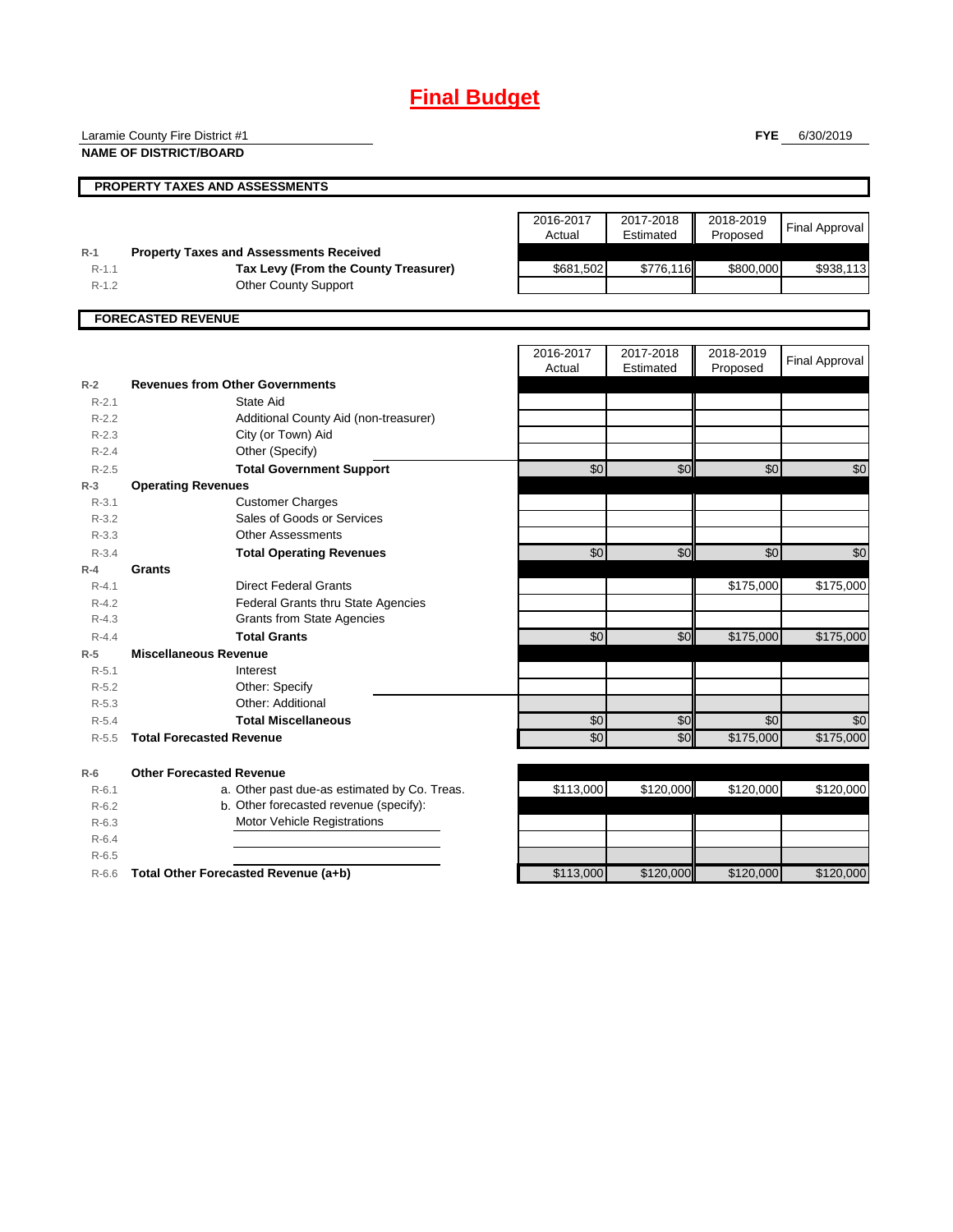# **Final Budget**

**FYE** 6/30/2019 **PROPERTY TAXES AND ASSESSMENTS** 2016-2017 Actual 2017-2018 Estimated 2018-2019 **Proposed** Final Approval **R-1 Property Taxes and Assessments Received** R-1.1 **Tax Levy (From the County Treasurer)** \$681,502 \$776,116 \$800,000 \$938,113 R-1.2 Other County Support **FORECASTED REVENUE** 2016-2017 Actual 2017-2018 Estimated 2018-2019 Proposed Final Approval **R-2 Revenues from Other Governments** R-2.1 R-2.2 R-2.3 R-2.4 Other (Specify) R-2.5 **Total Government Support 1 50 \$0 \$0 \$0 \$0 \$0 \$0 \$0 R-3 Operating Revenues** R-3.1 R-3.2 R-3.3 R-3.4 **Total Operating Revenues** \$0| \$0| \$0| \$0 **R-4 Grants** R-4.1 **Direct Federal Grants 19th Contract Contract Federal Grants 19th Contract Contract Contract Contract Contract Contract Contract Contract Contract Contract Contract Contract Contract Contract Contract Contract Cont** R-4.2 Federal Grants thru State Agencies R-4.3 Grants from State Agencies R-4.4 **Total Grants** \$0 \$0 \$175,000 \$175,000 **R-5 Miscellaneous Revenue** R-5.1 R-5.2 R-5.3 R-5.4 **Total Miscellaneous 1.1 and 1.1 and 1.1 and 1.1 and 1.1 and 1.1 and 1.1 and 1.1 and 1.1 and 1.1 and 1.1 and 1.1 and 1.1 and 1.1 and 1.1 and 1.1 and 1.1 and 1.1 and 1.1 and 1.1 and 1.1 and 1.1 and 1.1 and 1.1 and 1** R-5.5 **Total Forecasted Revenue** \$0 \$0 \$175,000 \$175,000 **R-6 Other Forecasted Revenue** R-6.1 a. Other past due-as estimated by Co. Treas.  $\sqrt{3113,000}$  \$120,000 \$120,000 \$120,000 R-6.2 b. Other forecasted revenue (specify): R-6.3 R-6.4 R-6.5 R-6.6 **Total Other Forecasted Revenue (a+b)** \$113,000 \$120,000 \$120,000 \$120,000 Motor Vehicle Registrations City (or Town) Aid State Aid Additional County Aid (non-treasurer) Other: Additional Interest Other: Specify Sales of Goods or Services Other Assessments Customer Charges Laramie County Fire District #1 **NAME OF DISTRICT/BOARD**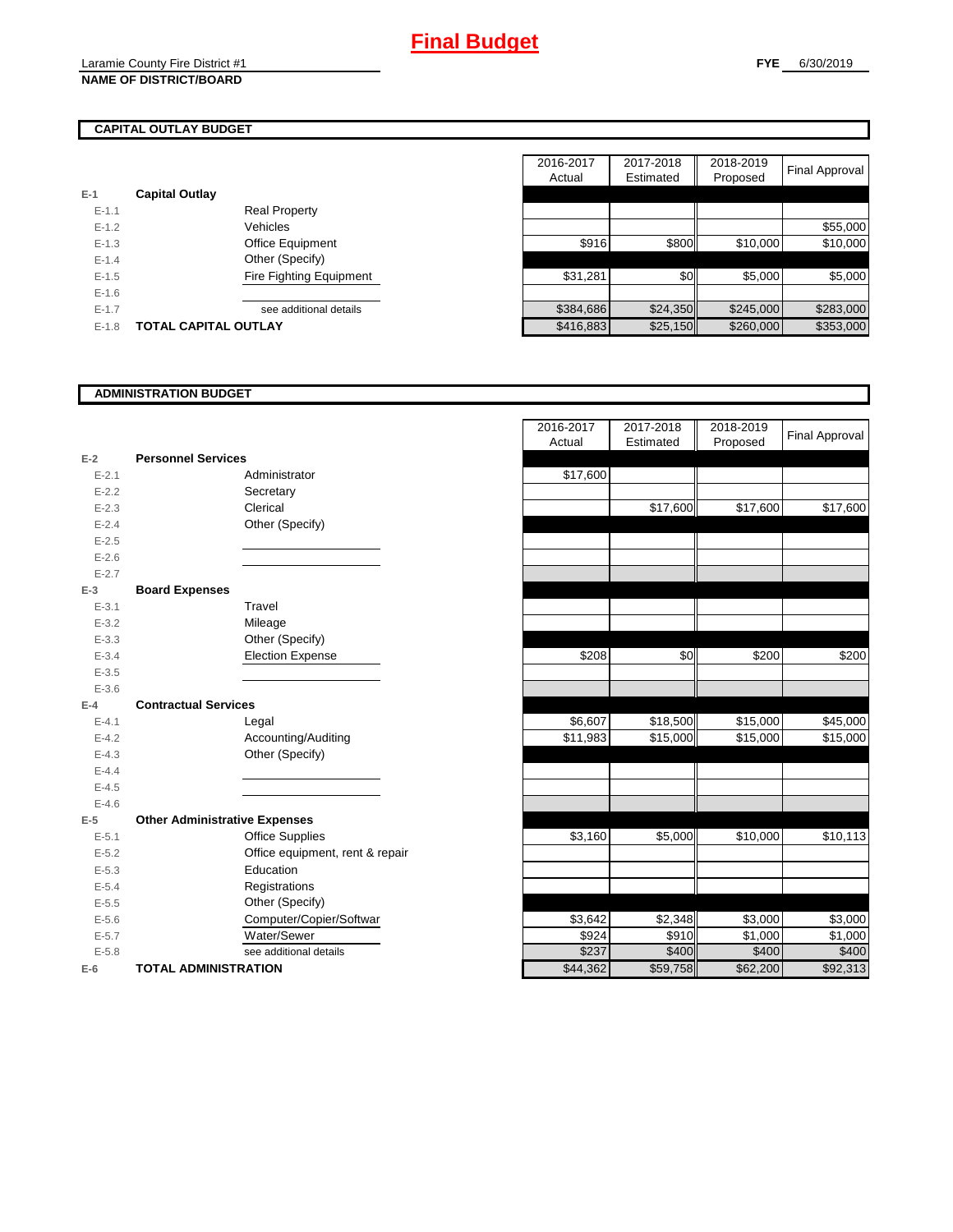# **CAPITAL OUTLAY BUDGET**

| $E-1$   | <b>Capital Outlay</b> |                                |
|---------|-----------------------|--------------------------------|
| $F-1.1$ |                       | <b>Real Property</b>           |
| $F-12$  |                       | Vehicles                       |
| $F-1.3$ |                       | Office Equipment               |
| $F-14$  |                       | Other (Specify)                |
| $F-1.5$ |                       | <b>Fire Fighting Equipment</b> |
| $F-16$  |                       |                                |
| $F-17$  |                       | see additional details         |
| $F-1.8$ | TOTAL CAPITAL OUTLAY  |                                |

|           |                             |                         | 2016-2017 | 2017-2018 | 2018-2019 |                |
|-----------|-----------------------------|-------------------------|-----------|-----------|-----------|----------------|
|           |                             |                         | Actual    | Estimated | Proposed  | Final Approval |
|           | <b>Capital Outlay</b>       |                         |           |           |           |                |
| $E - 1.1$ |                             | <b>Real Property</b>    |           |           |           |                |
| $E - 1.2$ |                             | Vehicles                |           |           |           | \$55,000       |
| $E-1.3$   |                             | Office Equipment        | \$916     | \$800     | \$10,000  | \$10,000       |
| $E - 1.4$ |                             | Other (Specify)         |           |           |           |                |
| $E-1.5$   |                             | Fire Fighting Equipment | \$31,281  | \$0       | \$5,000   | \$5,000        |
| $E-1.6$   |                             |                         |           |           |           |                |
| $E - 1.7$ |                             | see additional details  | \$384,686 | \$24,350  | \$245,000 | \$283,000      |
| $E-1.8$   | <b>TOTAL CAPITAL OUTLAY</b> |                         | \$416,883 | \$25,150  | \$260,000 | \$353,000      |

### **ADMINISTRATION BUDGET**

|           |                                      |                                 | nuuai    |
|-----------|--------------------------------------|---------------------------------|----------|
| $E-2$     | <b>Personnel Services</b>            |                                 |          |
| $E - 2.1$ |                                      | Administrator                   | \$17,600 |
| $E-2.2$   |                                      | Secretary                       |          |
| $E - 2.3$ |                                      | Clerical                        |          |
| $E - 2.4$ |                                      | Other (Specify)                 |          |
| $E-2.5$   |                                      |                                 |          |
| $E - 2.6$ |                                      |                                 |          |
| $E - 2.7$ |                                      |                                 |          |
| $E-3$     | <b>Board Expenses</b>                |                                 |          |
| $E - 3.1$ |                                      | Travel                          |          |
| $E - 3.2$ |                                      | Mileage                         |          |
| $E - 3.3$ |                                      | Other (Specify)                 |          |
| $E - 3.4$ |                                      | <b>Election Expense</b>         | \$208    |
| $E - 3.5$ |                                      |                                 |          |
| $E - 3.6$ |                                      |                                 |          |
| $E-4$     | <b>Contractual Services</b>          |                                 |          |
| $E - 4.1$ |                                      | Legal                           | \$6,607  |
| $E-4.2$   |                                      | Accounting/Auditing             | \$11,983 |
| $E-4.3$   |                                      | Other (Specify)                 |          |
| $E - 4.4$ |                                      |                                 |          |
| $E - 4.5$ |                                      |                                 |          |
| $E - 4.6$ |                                      |                                 |          |
| $E-5$     | <b>Other Administrative Expenses</b> |                                 |          |
| $E - 5.1$ |                                      | <b>Office Supplies</b>          | \$3,160  |
| $E - 5.2$ |                                      | Office equipment, rent & repair |          |
| $E - 5.3$ |                                      | Education                       |          |
| $E - 5.4$ |                                      | Registrations                   |          |
| $E - 5.5$ |                                      | Other (Specify)                 |          |
| $E - 5.6$ |                                      | Computer/Copier/Softwar         | \$3,642  |
| $E - 5.7$ |                                      | Water/Sewer                     | \$924    |
| $E - 5.8$ |                                      | see additional details          | \$237    |
| $E-6$     | <b>TOTAL ADMINISTRATION</b>          |                                 | \$44.362 |

|           |                                      | 2016-2017 | 2017-2018<br>Estimated | 2018-2019 | <b>Final Approval</b> |
|-----------|--------------------------------------|-----------|------------------------|-----------|-----------------------|
|           | <b>Personnel Services</b>            | Actual    |                        | Proposed  |                       |
| $E-2$     |                                      |           |                        |           |                       |
| $E - 2.1$ | Administrator                        | \$17,600  |                        |           |                       |
| $E - 2.2$ | Secretary                            |           |                        |           |                       |
| $E - 2.3$ | Clerical                             |           | \$17,600               | \$17,600  | \$17,600              |
| $E - 2.4$ | Other (Specify)                      |           |                        |           |                       |
| $E - 2.5$ |                                      |           |                        |           |                       |
| $E-2.6$   |                                      |           |                        |           |                       |
| $E - 2.7$ |                                      |           |                        |           |                       |
| $E-3$     | <b>Board Expenses</b>                |           |                        |           |                       |
| $E - 3.1$ | Travel                               |           |                        |           |                       |
| $E - 3.2$ | Mileage                              |           |                        |           |                       |
| $E - 3.3$ | Other (Specify)                      |           |                        |           |                       |
| $E - 3.4$ | <b>Election Expense</b>              | \$208     | \$0                    | \$200     | \$200                 |
| $E - 3.5$ |                                      |           |                        |           |                       |
| $E - 3.6$ |                                      |           |                        |           |                       |
| $E-4$     | <b>Contractual Services</b>          |           |                        |           |                       |
| $E - 4.1$ | Legal                                | \$6,607   | \$18,500               | \$15,000  | \$45,000              |
| $E - 4.2$ | Accounting/Auditing                  | \$11,983  | \$15,000               | \$15,000  | \$15,000              |
| $E - 4.3$ | Other (Specify)                      |           |                        |           |                       |
| $E - 4.4$ |                                      |           |                        |           |                       |
| $E-4.5$   |                                      |           |                        |           |                       |
| $E - 4.6$ |                                      |           |                        |           |                       |
| $E-5$     | <b>Other Administrative Expenses</b> |           |                        |           |                       |
| $E - 5.1$ | <b>Office Supplies</b>               | \$3,160   | \$5,000                | \$10,000  | \$10,113              |
| $E - 5.2$ | Office equipment, rent & repair      |           |                        |           |                       |
| $E - 5.3$ | Education                            |           |                        |           |                       |
| $E - 5.4$ | Registrations                        |           |                        |           |                       |
| $E - 5.5$ | Other (Specify)                      |           |                        |           |                       |
| $E - 5.6$ | Computer/Copier/Softwar              | \$3,642   | \$2,348                | \$3,000   | \$3,000               |
| $E - 5.7$ | Water/Sewer                          | \$924     | \$910                  | \$1,000   | \$1,000               |
| $E - 5.8$ | see additional details               | \$237     | \$400                  | \$400     | \$400                 |
| $E-6$     | <b>TOTAL ADMINISTRATION</b>          | \$44,362  | \$59,758               | \$62,200  | \$92,313              |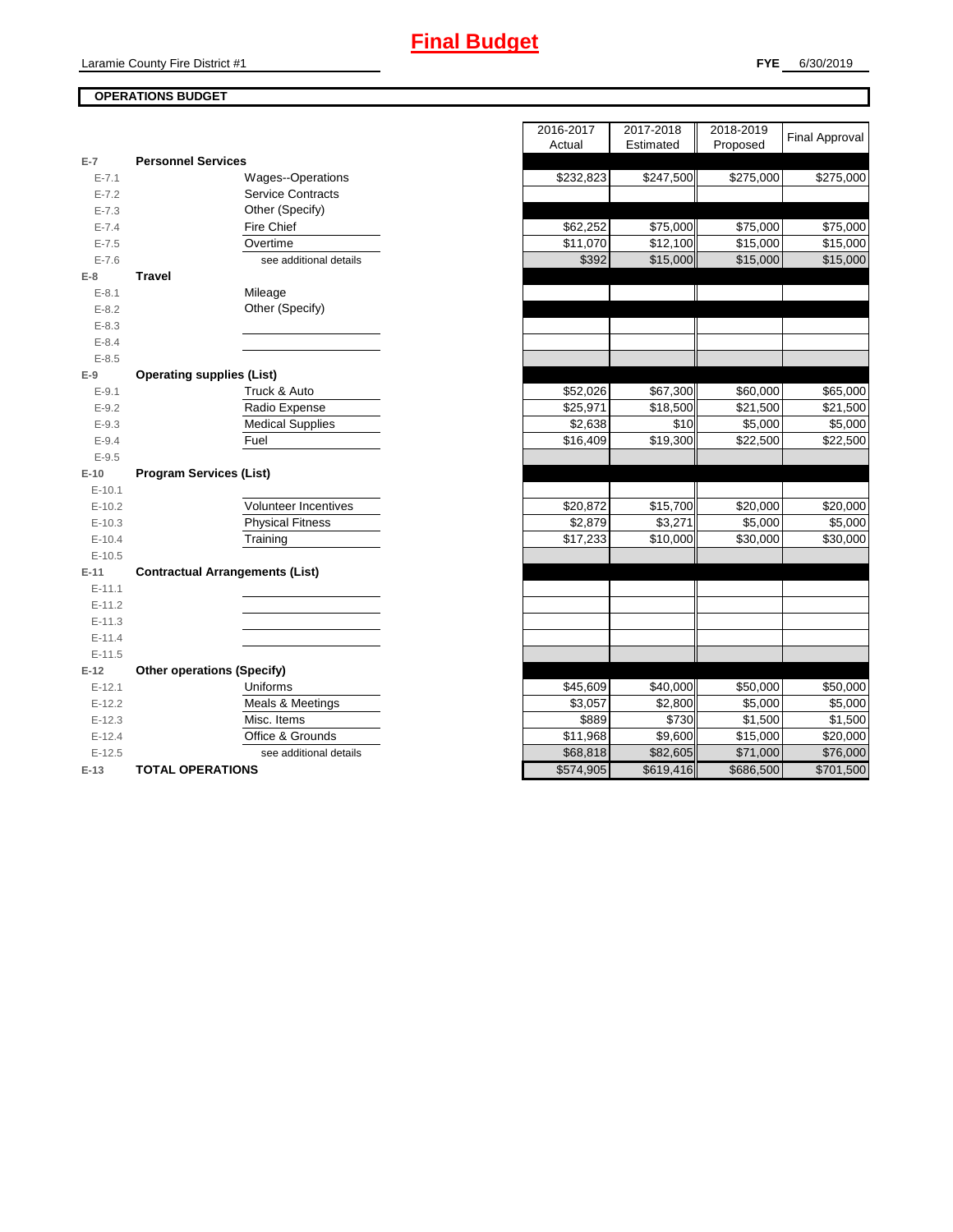# **Final Budget**

# **OPERATIONS BUDGET**

| E-7       | <b>Personnel Services</b>              |  |  |
|-----------|----------------------------------------|--|--|
| $E - 7.1$ | Wages--Operations                      |  |  |
| $E - 7.2$ | <b>Service Contracts</b>               |  |  |
| $E - 7.3$ | Other (Specify)                        |  |  |
| $E - 7.4$ | <b>Fire Chief</b>                      |  |  |
| $E - 7.5$ | Overtime                               |  |  |
| $E - 7.6$ | see additional details                 |  |  |
| $E-8$     | <b>Travel</b>                          |  |  |
| $E-8.1$   | Mileage                                |  |  |
| $E - 8.2$ | Other (Specify)                        |  |  |
| $E - 8.3$ |                                        |  |  |
| $E - 8.4$ |                                        |  |  |
| $E - 8.5$ |                                        |  |  |
| $E-9$     | <b>Operating supplies (List)</b>       |  |  |
| $E-9.1$   | Truck & Auto                           |  |  |
| $E - 9.2$ | Radio Expense                          |  |  |
| $E - 9.3$ | <b>Medical Supplies</b>                |  |  |
| $E - 9.4$ | Fuel                                   |  |  |
| $E - 9.5$ |                                        |  |  |
| $E-10$    | <b>Program Services (List)</b>         |  |  |
| $E-10.1$  |                                        |  |  |
| $E-10.2$  | <b>Volunteer Incentives</b>            |  |  |
| $E-10.3$  | <b>Physical Fitness</b>                |  |  |
| $E-10.4$  | Training                               |  |  |
| $E-10.5$  |                                        |  |  |
| $E-11$    | <b>Contractual Arrangements (List)</b> |  |  |
| $E-11.1$  |                                        |  |  |
| $E-11.2$  |                                        |  |  |
|           |                                        |  |  |
| $E-11.3$  |                                        |  |  |
| $E-11.4$  |                                        |  |  |
| $E-11.5$  |                                        |  |  |
| $E-12$    | <b>Other operations (Specify)</b>      |  |  |
| $E-12.1$  | Uniforms                               |  |  |
| $E-12.2$  | <b>Meals &amp; Meetings</b>            |  |  |
| $E-12.3$  | Misc. Items                            |  |  |
| $E-12.4$  | Office & Grounds                       |  |  |
| $E-12.5$  | see additional details                 |  |  |

|                |                                        | 2016-2017<br>Actual  | 2017-2018<br>Estimated | 2018-2019<br>Proposed | <b>Final Approval</b> |
|----------------|----------------------------------------|----------------------|------------------------|-----------------------|-----------------------|
| $\overline{7}$ | <b>Personnel Services</b>              |                      |                        |                       |                       |
| $E - 7.1$      | Wages--Operations                      | \$232,823            | \$247,500              | \$275,000             | \$275,000             |
| $E - 7.2$      | <b>Service Contracts</b>               |                      |                        |                       |                       |
| $E - 7.3$      | Other (Specify)                        |                      |                        |                       |                       |
| $E - 7.4$      | Fire Chief                             | $\overline{$}62,252$ | \$75,000               | \$75,000              | \$75,000              |
| $E - 7.5$      | Overtime                               | \$11,070             | \$12,100               | \$15,000              | \$15,000              |
| $E - 7.6$      | see additional details                 | \$392                | \$15,000               | \$15,000              | \$15,000              |
| 8              | <b>Travel</b>                          |                      |                        |                       |                       |
| $E - 8.1$      | Mileage                                |                      |                        |                       |                       |
| $E - 8.2$      | Other (Specify)                        |                      |                        |                       |                       |
| $E - 8.3$      |                                        |                      |                        |                       |                       |
| $E - 8.4$      |                                        |                      |                        |                       |                       |
| $E - 8.5$      |                                        |                      |                        |                       |                       |
| 9              | <b>Operating supplies (List)</b>       |                      |                        |                       |                       |
| $E-9.1$        | Truck & Auto                           | \$52,026             | \$67,300               | \$60,000              | \$65,000              |
| $E - 9.2$      | Radio Expense                          | \$25,971             | \$18,500               | \$21,500              | \$21,500              |
| $E - 9.3$      | <b>Medical Supplies</b>                | \$2,638              | \$10                   | \$5,000               | \$5,000               |
| $E - 9.4$      | Fuel                                   | \$16,409             | \$19,300               | \$22,500              | \$22,500              |
| $E - 9.5$      |                                        |                      |                        |                       |                       |
| 10             | <b>Program Services (List)</b>         |                      |                        |                       |                       |
| $E-10.1$       |                                        |                      |                        |                       |                       |
| $E-10.2$       | <b>Volunteer Incentives</b>            | \$20,872             | \$15,700               | \$20,000              | \$20,000              |
| $E-10.3$       | <b>Physical Fitness</b>                | \$2,879              | \$3,271                | \$5,000               | \$5,000               |
| $E-10.4$       | Training                               | \$17,233             | \$10,000               | \$30,000              | \$30,000              |
| $E-10.5$       |                                        |                      |                        |                       |                       |
| $-11$          | <b>Contractual Arrangements (List)</b> |                      |                        |                       |                       |
| $E-11.1$       |                                        |                      |                        |                       |                       |
| $E-11.2$       |                                        |                      |                        |                       |                       |
| $E-11.3$       |                                        |                      |                        |                       |                       |
| $E-11.4$       |                                        |                      |                        |                       |                       |
| $E-11.5$       |                                        |                      |                        |                       |                       |
| 12             | <b>Other operations (Specify)</b>      |                      |                        |                       |                       |
| $E-12.1$       | Uniforms                               | \$45,609             | \$40,000               | \$50,000              | \$50,000              |
| $E-12.2$       | Meals & Meetings                       | \$3,057              | \$2,800                | \$5,000               | \$5,000               |
| $E-12.3$       | Misc. Items                            | \$889                | \$730                  | \$1,500               | $\overline{$}1,500$   |
| $E-12.4$       | Office & Grounds                       | \$11,968             | \$9,600                | \$15,000              | \$20,000              |
| $E-12.5$       | see additional details                 | \$68,818             | \$82,605               | \$71,000              | \$76,000              |
| $-13$          | <b>TOTAL OPERATIONS</b>                | \$574,905            | \$619,416              | \$686,500             | \$701,500             |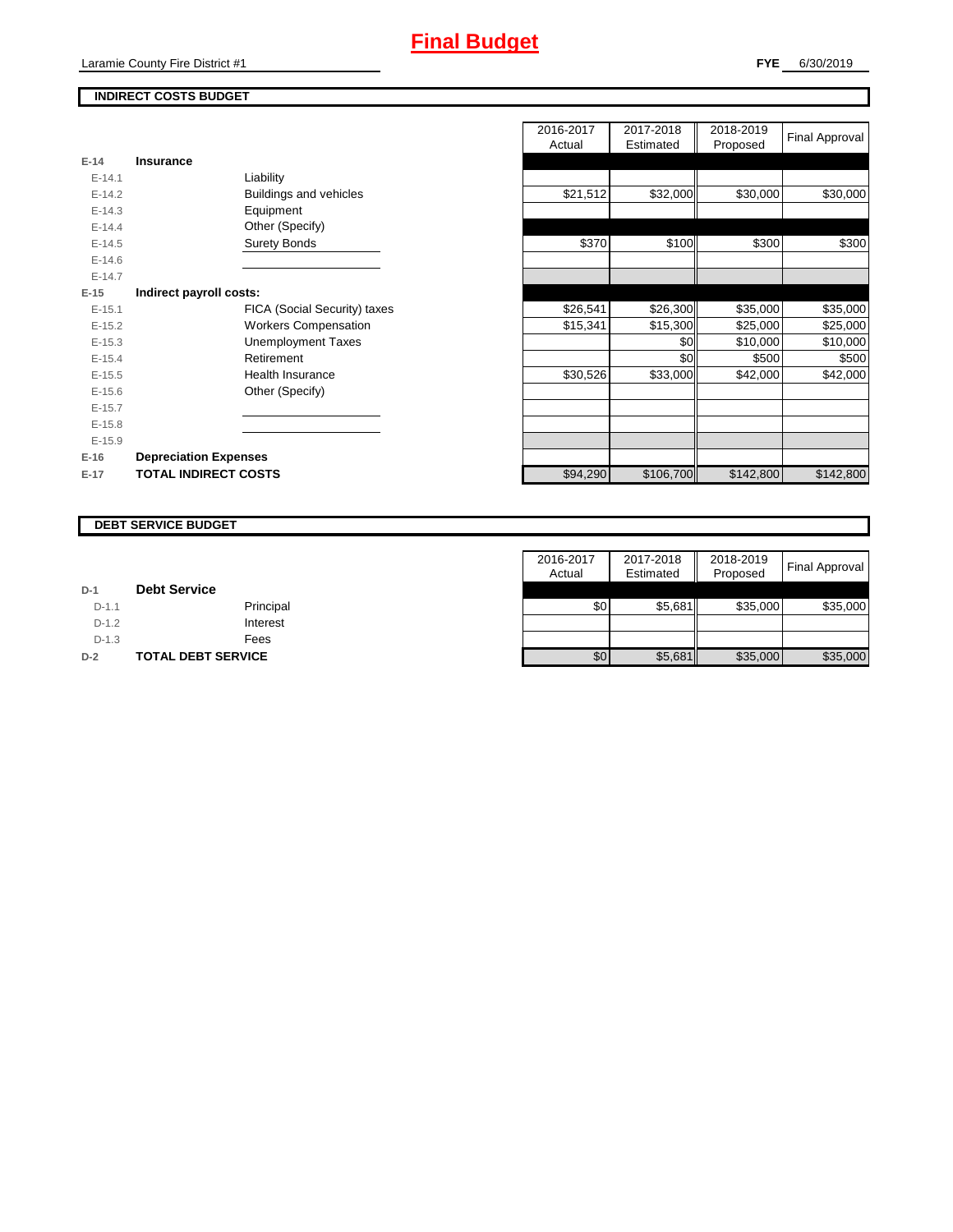# **INDIRECT COSTS BUDGET**

| $E-14$     | Insurance                    |
|------------|------------------------------|
| $F-141$    | Liability                    |
| $E-14.2$   | Buildings and vehicles       |
| $E-14.3$   | Equipment                    |
| $F-144$    | Other (Specify)              |
| $F-14.5$   | <b>Surety Bonds</b>          |
| $F-146$    |                              |
| $F-147$    |                              |
| E-15       | Indirect payroll costs:      |
| $E-15.1$   | FICA (Social Security) taxes |
| $E-15.2$   | <b>Workers Compensation</b>  |
| $F-15.3$   | Unemployment Taxes           |
| $F-154$    | Retirement                   |
| $E-15.5$   | Health Insurance             |
| $E - 15.6$ | Other (Specify)              |
| $E-15.7$   |                              |
| $E-15.8$   |                              |
| $E-15.9$   |                              |
| $E-16$     | <b>Depreciation Expenses</b> |
| $E-17$     | <b>TOTAL INDIRECT COSTS</b>  |

|          |                              | 2016-2017<br>Actual | 2017-2018<br>Estimated | 2018-2019<br>Proposed | <b>Final Approval</b> |
|----------|------------------------------|---------------------|------------------------|-----------------------|-----------------------|
| $E-14$   | <b>Insurance</b>             |                     |                        |                       |                       |
| $E-14.1$ | Liability                    |                     |                        |                       |                       |
| $E-14.2$ | Buildings and vehicles       | \$21,512            | \$32,000               | \$30,000              | \$30,000              |
| $E-14.3$ | Equipment                    |                     |                        |                       |                       |
| $E-14.4$ | Other (Specify)              |                     |                        |                       |                       |
| $E-14.5$ | <b>Surety Bonds</b>          | \$370               | \$100                  | \$300                 | \$300                 |
| $E-14.6$ |                              |                     |                        |                       |                       |
| $E-14.7$ |                              |                     |                        |                       |                       |
| $E-15$   | Indirect payroll costs:      |                     |                        |                       |                       |
| $E-15.1$ | FICA (Social Security) taxes | \$26,541            | \$26,300               | \$35,000              | \$35,000              |
| $E-15.2$ | <b>Workers Compensation</b>  | \$15,341            | \$15,300               | \$25,000              | \$25,000              |
| $E-15.3$ | <b>Unemployment Taxes</b>    |                     | \$0                    | \$10,000              | \$10,000              |
| $E-15.4$ | Retirement                   |                     | \$0                    | \$500                 | \$500                 |
| $E-15.5$ | Health Insurance             | \$30,526            | \$33,000               | \$42,000              | \$42,000              |
| $E-15.6$ | Other (Specify)              |                     |                        |                       |                       |
| $E-15.7$ |                              |                     |                        |                       |                       |
| $E-15.8$ |                              |                     |                        |                       |                       |
| $E-15.9$ |                              |                     |                        |                       |                       |
| $E-16$   | <b>Depreciation Expenses</b> |                     |                        |                       |                       |
| $E-17$   | <b>TOTAL INDIRECT COSTS</b>  | \$94,290            | \$106,700              | \$142,800             | \$142,800             |
|          |                              |                     |                        |                       |                       |

#### **DEBT SERVICE BUDGET**

|         |                           | 2016-2017 | 2017-2018 | 2018-2019 |                       |
|---------|---------------------------|-----------|-----------|-----------|-----------------------|
|         |                           | Actual    | Estimated | Proposed  | <b>Final Approval</b> |
| $D-1$   | <b>Debt Service</b>       |           |           |           |                       |
| $D-1.1$ | Principal                 | \$0       | \$5.681   | \$35,000  | \$35,000              |
| $D-1.2$ | Interest                  |           |           |           |                       |
| $D-1.3$ | Fees                      |           |           |           |                       |
| $D-2$   | <b>TOTAL DEBT SERVICE</b> | \$0       | \$5,681   | \$35,000  | \$35,000              |